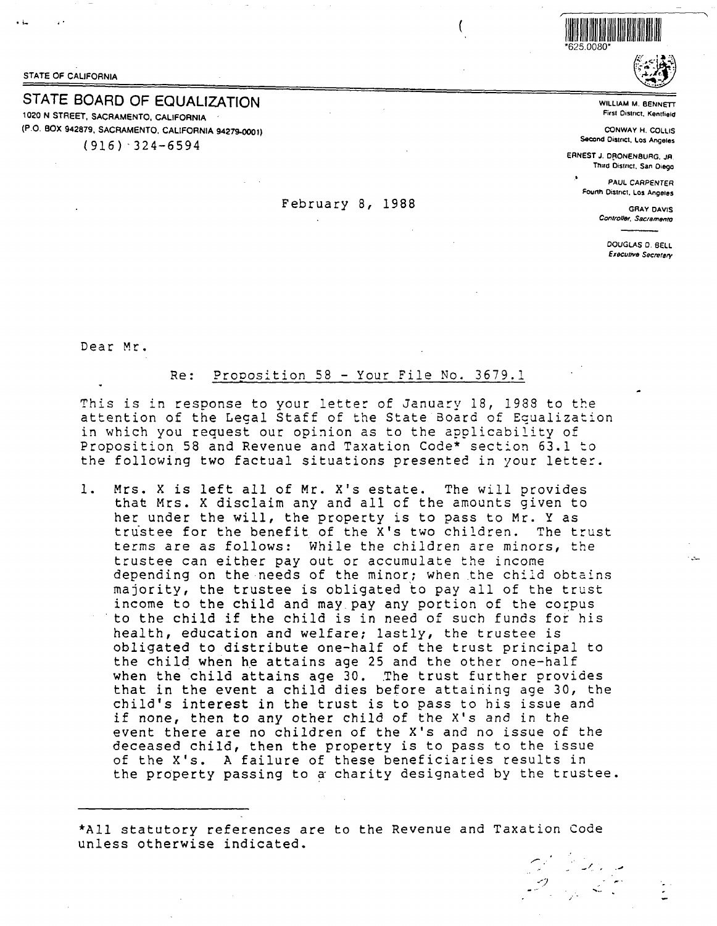STATE OF CALIFORNIA

# STATE BOARD OF EQUALIZATION

1020 N STREET, SACRAMENTO, CALIFORNIA (P.O. BOX 942879, SACRAMENTO, CALIFORNIA 94279-0001)

 $(916)$  324-6594

## February 8, 1988



WILLIAM M. BENNETT

First District, Kentfield

CONWAY H. COLLIS Second District, Los Angeles

ERNEST J. DRONENBURG, JR. Third District, San Diego

> **PAUL CARPENTER** Fourth District, Los Angeles

> > **GRAY DAVIS** Controller, Sacramento

> > > DOUGLAS D. BELL Executive Secretary

Dear Mr.

### Proposition 58 - Your File No. 3679.1 Re:

This is in response to your letter of January 18, 1988 to the attention of the Legal Staff of the State Board of Equalization in which you request our opinion as to the applicability of Proposition 58 and Revenue and Taxation Code\* section 63.1 to the following two factual situations presented in your letter.

 $1.$ Mrs. X is left all of Mr. X's estate. The will provides that Mrs. X disclaim any and all of the amounts given to her under the will, the property is to pass to Mr. Y as trustee for the benefit of the X's two children. The trust terms are as follows: While the children are minors, the trustee can either pay out or accumulate the income depending on the needs of the minor; when the child obtains majority, the trustee is obligated to pay all of the trust income to the child and may pay any portion of the corpus to the child if the child is in need of such funds for his health, education and welfare; lastly, the trustee is obligated to distribute one-half of the trust principal to the child when he attains age 25 and the other one-half when the child attains age 30. The trust further provides that in the event a child dies before attaining age 30, the child's interest in the trust is to pass to his issue and if none, then to any other child of the X's and in the event there are no children of the X's and no issue of the deceased child, then the property is to pass to the issue of the X's. A failure of these beneficiaries results in the property passing to a charity designated by the trustee.

\*All statutory references are to the Revenue and Taxation Code unless otherwise indicated.

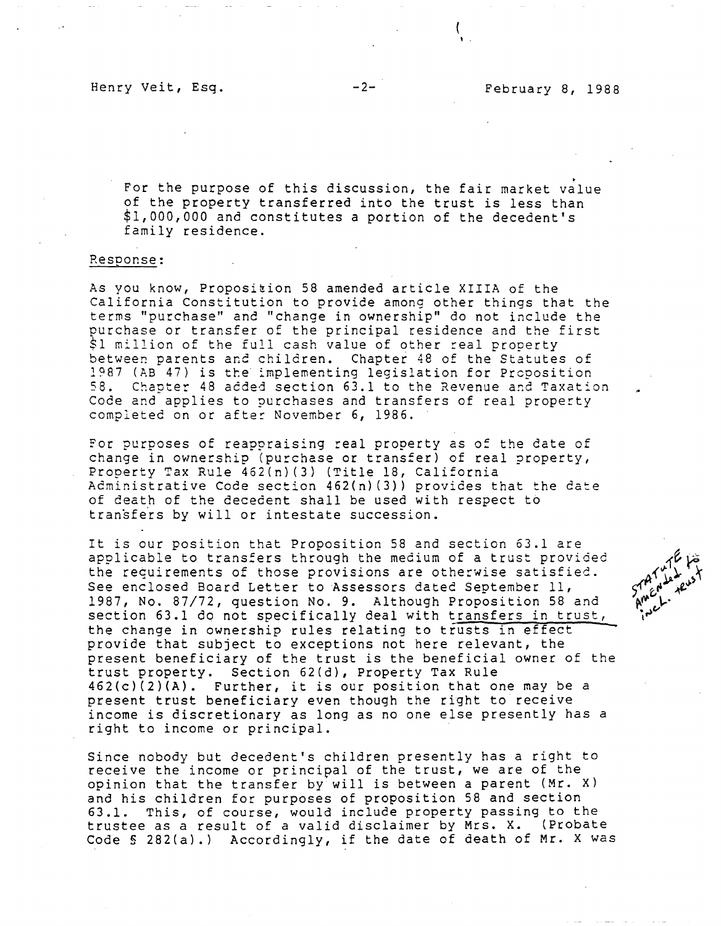. For the purpose of this discussion, the fair market value of the property transferred into the trust is less than \$1,000,000 and constitutes a portion of the decedent's family residence.

### Resoonse:

As you know, Proposition 58 amended article XIIIA of the California Constitution to provide among other things that the terms "purchase" and "change in ownership" do not include the purchase or transfer of the principal residence and the first \$1 million of the full cash value of other real property between parents and children. Chapter 48 of the Statutes of 1987 (AB 47) is tte implementing legislation for Preposition 58. Chapter 48 added section 63.1 to the Revenue and Taxation Code and applies to purchases and transfers of real property completed on or after November 6, 1986.

For purposes of reappraising real property as of the date of change in ownership (purchase or transfer) of real property, Property Tax Rule 462(n)(3) (Title 18, California Administrative Code section 462(n) (3)) provides that the date of death of the decedent shall be used with respect to transfers by will or intestate succession.

It is our position that Proposition 58 and section 63.1 are applicable to transfers through the medium of a trust provided the requirements of those provisions are otherwise satisfied. See enclosed Board Letter to Assessors dated September 11, 1987, No. 87/72, question No. 9. Although Proposition 58 and section 63.1 do not specifically deal with transfers in trust, the change in ownership rules relating to trusts in effect provide that subject to exceptions not here relevant, the present beneficiary of the trust is the beneficial owner of the trust property. Section 62(d), Property Tax Rule 462(c)(2)(A). Further, it is our position that one may be a present trust beneficiary even though the right to receive income is discretionary as long as no one else presently has a right to income or principal.

Since nobody but decedent's children presently has a right to receive the income or principal of the trust, we are of the opinion that the transfer by will is between a parent (Mr. X) and his children for purposes of proposition 58 and section 63.1. This, of course, would include property passing to the trustee as a result of a valid disclaimer by Mrs. X. (Probate Code§ 282(a).) Accordingly, if the date of death of Mr. X was

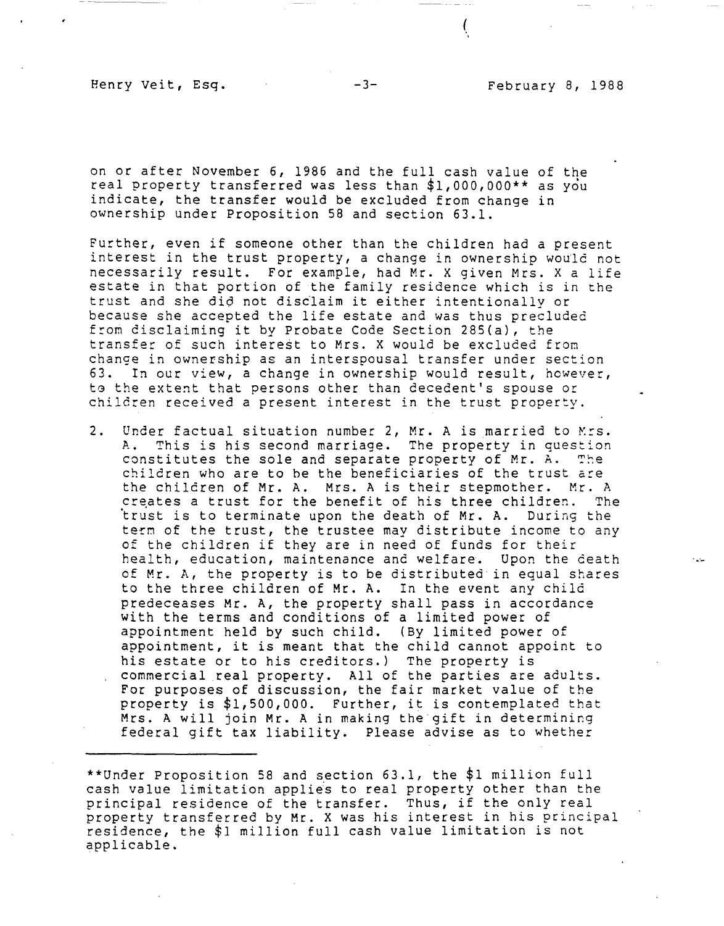(

on or after November 6, 1986 and the full cash value of the real property transferred was less than \$1,000,000\*\* as you indicate, the transfer would be excluded from change in ownership under Proposition 58 and section 63.1.

Further, even if someone other than the children had a present interest in the trust property, a change in ownership would not necessarily result. For example, had Mr. X given Mrs. X a life estate in that portion of the family residence which is in the trust and she di6 not distlaim it either intentionally or because she accepted the life estate and was thus precluded from disclaiming it by Probate Code Section 285(a), the transfer of such interest to Mrs. X would be excluded from change in ownership as an interspousal transfer under section 63. In our view, a change in ownership would result, however, to the extent that persons other than decedent's spouse or children received a present interest in the trust property.

2. Under factual situation number 2, Mr. A is married to Mrs. A. This is his second marriage. The property in question constitutes the sole and separate property of Mr. A. The children who are to be the beneficiaries of the trust are the children of Mr. A. Mrs. A is their stepmother. Mr. A<br>creates a trust for the benefit of his three children. The creates a trust for the benefit of his three children. trust is to terminate upon the death of Mr. A. During the term of the trust, the trustee may distribute income to any of the children if they are in need of funds for their health, education, maintenance and welfare. Upon the death of Mr. A, the property is to be distributed in equal shares to the three children of Mr. A. In the event any child predeceases Mr. A, the property shall pass in accordance with the terms and conditions of a limited power of appointment held by such child. (By limited power of appointment, it is meant that the child cannot appoint to his estate or to his creditors.) The property is commercial real property. All of the parties are adults. For purposes of discussion, the fair market value of the property is \$1,500,000. Further, it is contemplated that Mrs. A will join **Mr. A** in making the gift in determining federal gift tax liability. Please advise as to whether

<sup>\*\*</sup>Under Proposition 58 and section 63.1, the \$1 million full cash value limitation applies to real property other than the principal residence of the transfer. Thus, if the only real property transferred by **Mr. X** was his interest in his principal residence, the \$1 million full cash value limitation is not applicable.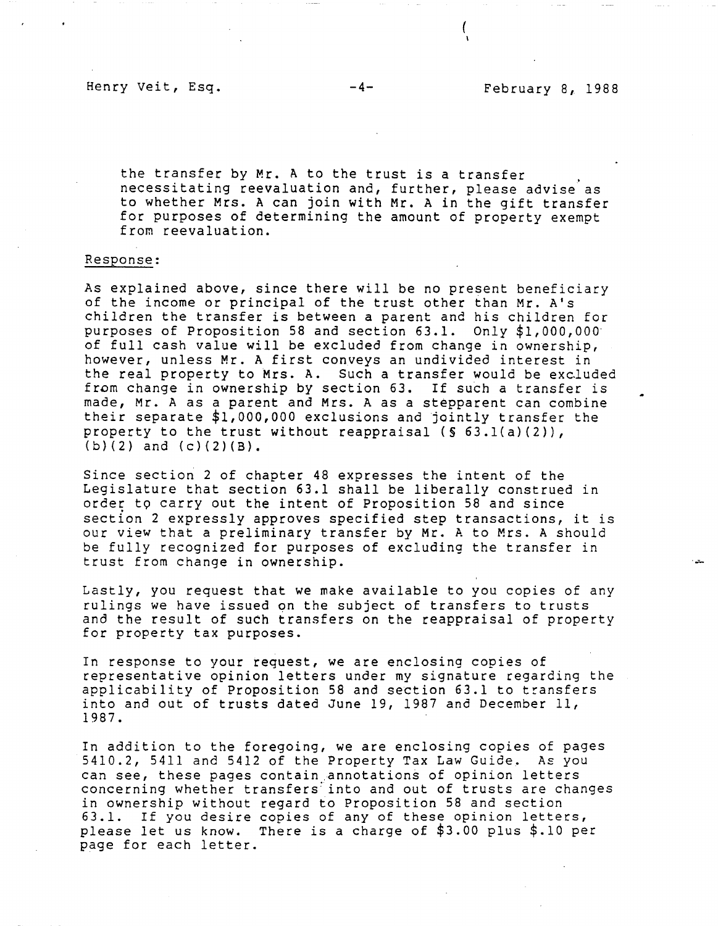$\left($ 

the transfer by Mr. A to the trust is a transfer necessitating reevaluation and, further, please advise' as to whether Mrs. A can join with Mr. A in the gift transfer for purposes of determining the amount of property exempt from reevaluation.

## Response:

As explained above, since there will be no present beneficiary of the income or principal of the trust other than Mr. A's children the transfer is between a parent and his children for purposes of Proposition 58 and section 63.1. Only \$1,000,000· of full cash value will be excluded from change in ownership, however, unless **Mr. A** first conveys an undivided interest in the real property to Mrs. A. Such a transfer would be excluded from change in ownership by section 63. If such a transfer is made, Mr. A as a parent and Mrs. A as a stepparent can combine their separate \$1,000,000 exclusions and jointly transfer the property to the trust without reappraisal  $(S 63.1(a)(2))$ ,  $(b)(2)$  and  $(c)(2)(B)$ .

Since section 2 of chapter 48 expresses the intent of the Legislature that section 63.1 shall be liberally construed in order t9 carry out the intent of Proposition 58 and since section 2 expressly approves specified step transactions, it is our view that a preliminary transfer by Mr. A to Mrs. A should be fully recognized for purposes of excluding the transfer in trust from change in ownership.

Lastly, you request that we make available to you copies of any rulings we have issued on the subject of transfers to trusts and the result of such transfers on the reappraisal of property for property tax purposes.

In response to your request, we are enclosing copies of representative opinion letters under my signature regarding the applicability of Proposition 58 and section 63.1 to transfers into and out of trusts dated June 19, 1987 and December 11, 1987.

In addition to the foregoing, we are enclosing copies of pages 5410.2, 5411 and 5412 of the Property Tax Law Guide. As you can see, these pages contain annotations of opinion letters concerning whether transfers into and out of trusts are changes in ownership without regard to Proposition 58 and section 63.1. If you desire copies of any of these opinion letters, please let us know. There is a charge of \$3.00 plus \$.10 per page for each letter.